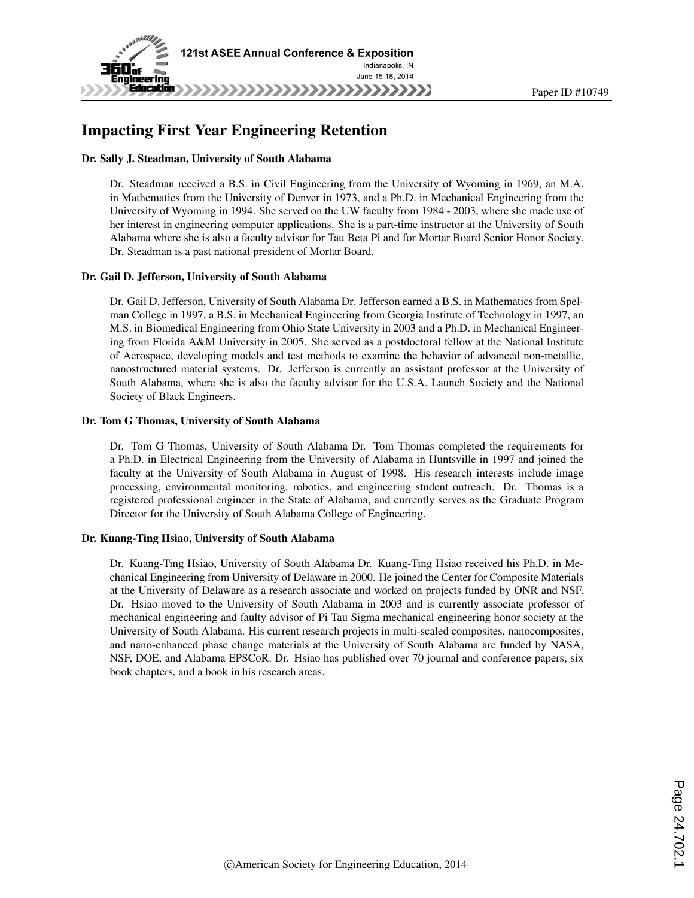

# Impacting First Year Engineering Retention

#### Dr. Sally J. Steadman, University of South Alabama

Dr. Steadman received a B.S. in Civil Engineering from the University of Wyoming in 1969, an M.A. in Mathematics from the University of Denver in 1973, and a Ph.D. in Mechanical Engineering from the University of Wyoming in 1994. She served on the UW faculty from 1984 - 2003, where she made use of her interest in engineering computer applications. She is a part-time instructor at the University of South Alabama where she is also a faculty advisor for Tau Beta Pi and for Mortar Board Senior Honor Society. Dr. Steadman is a past national president of Mortar Board.

#### Dr. Gail D. Jefferson, University of South Alabama

Dr. Gail D. Jefferson, University of South Alabama Dr. Jefferson earned a B.S. in Mathematics from Spelman College in 1997, a B.S. in Mechanical Engineering from Georgia Institute of Technology in 1997, an M.S. in Biomedical Engineering from Ohio State University in 2003 and a Ph.D. in Mechanical Engineering from Florida A&M University in 2005. She served as a postdoctoral fellow at the National Institute of Aerospace, developing models and test methods to examine the behavior of advanced non-metallic, nanostructured material systems. Dr. Jefferson is currently an assistant professor at the University of South Alabama, where she is also the faculty advisor for the U.S.A. Launch Society and the National Society of Black Engineers.

#### Dr. Tom G Thomas, University of South Alabama

Dr. Tom G Thomas, University of South Alabama Dr. Tom Thomas completed the requirements for a Ph.D. in Electrical Engineering from the University of Alabama in Huntsville in 1997 and joined the faculty at the University of South Alabama in August of 1998. His research interests include image processing, environmental monitoring, robotics, and engineering student outreach. Dr. Thomas is a registered professional engineer in the State of Alabama, and currently serves as the Graduate Program Director for the University of South Alabama College of Engineering.

#### Dr. Kuang-Ting Hsiao, University of South Alabama

Dr. Kuang-Ting Hsiao, University of South Alabama Dr. Kuang-Ting Hsiao received his Ph.D. in Mechanical Engineering from University of Delaware in 2000. He joined the Center for Composite Materials at the University of Delaware as a research associate and worked on projects funded by ONR and NSF. Dr. Hsiao moved to the University of South Alabama in 2003 and is currently associate professor of mechanical engineering and faulty advisor of Pi Tau Sigma mechanical engineering honor society at the University of South Alabama. His current research projects in multi-scaled composites, nanocomposites, and nano-enhanced phase change materials at the University of South Alabama are funded by NASA, NSF, DOE, and Alabama EPSCoR. Dr. Hsiao has published over 70 journal and conference papers, six book chapters, and a book in his research areas.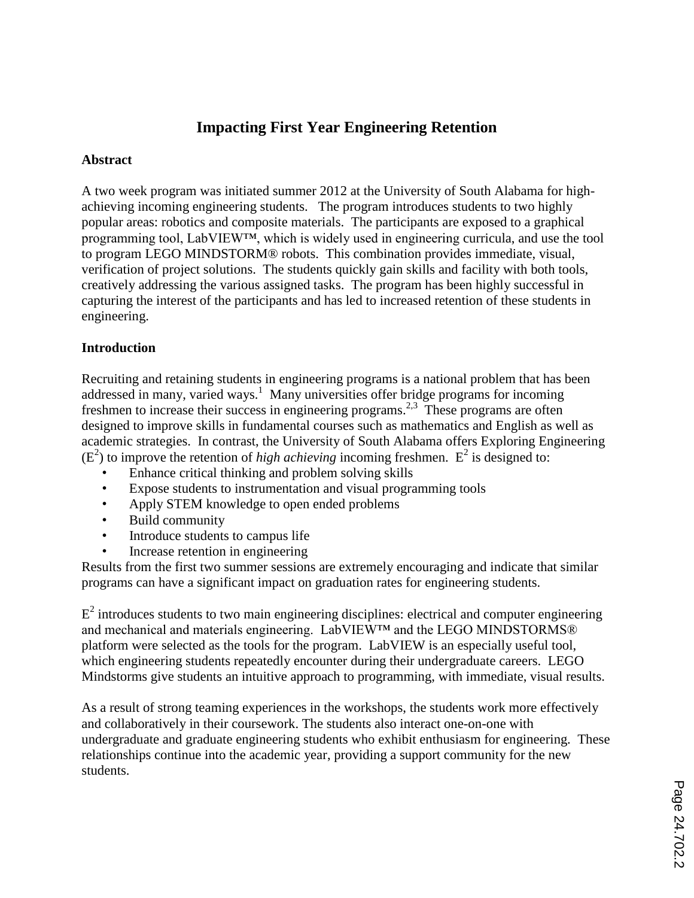# **Impacting First Year Engineering Retention**

## **Abstract**

A two week program was initiated summer 2012 at the University of South Alabama for highachieving incoming engineering students. The program introduces students to two highly popular areas: robotics and composite materials. The participants are exposed to a graphical programming tool, LabVIEW™, which is widely used in engineering curricula, and use the tool to program LEGO MINDSTORM® robots. This combination provides immediate, visual, verification of project solutions. The students quickly gain skills and facility with both tools, creatively addressing the various assigned tasks. The program has been highly successful in capturing the interest of the participants and has led to increased retention of these students in engineering.

## **Introduction**

Recruiting and retaining students in engineering programs is a national problem that has been addressed in many, varied ways.<sup>1</sup> Many universities offer bridge programs for incoming freshmen to increase their success in engineering programs.<sup>2,3</sup> These programs are often designed to improve skills in fundamental courses such as mathematics and English as well as academic strategies. In contrast, the University of South Alabama offers Exploring Engineering  $(E<sup>2</sup>)$  to improve the retention of *high achieving* incoming freshmen.  $E<sup>2</sup>$  is designed to:

- Enhance critical thinking and problem solving skills
- Expose students to instrumentation and visual programming tools
- Apply STEM knowledge to open ended problems
- Build community
- Introduce students to campus life
- Increase retention in engineering

Results from the first two summer sessions are extremely encouraging and indicate that similar programs can have a significant impact on graduation rates for engineering students.

 $E^2$  introduces students to two main engineering disciplines: electrical and computer engineering and mechanical and materials engineering. LabVIEW™ and the LEGO MINDSTORMS® platform were selected as the tools for the program. LabVIEW is an especially useful tool, which engineering students repeatedly encounter during their undergraduate careers. LEGO Mindstorms give students an intuitive approach to programming, with immediate, visual results.

As a result of strong teaming experiences in the workshops, the students work more effectively and collaboratively in their coursework. The students also interact one-on-one with undergraduate and graduate engineering students who exhibit enthusiasm for engineering. These relationships continue into the academic year, providing a support community for the new students.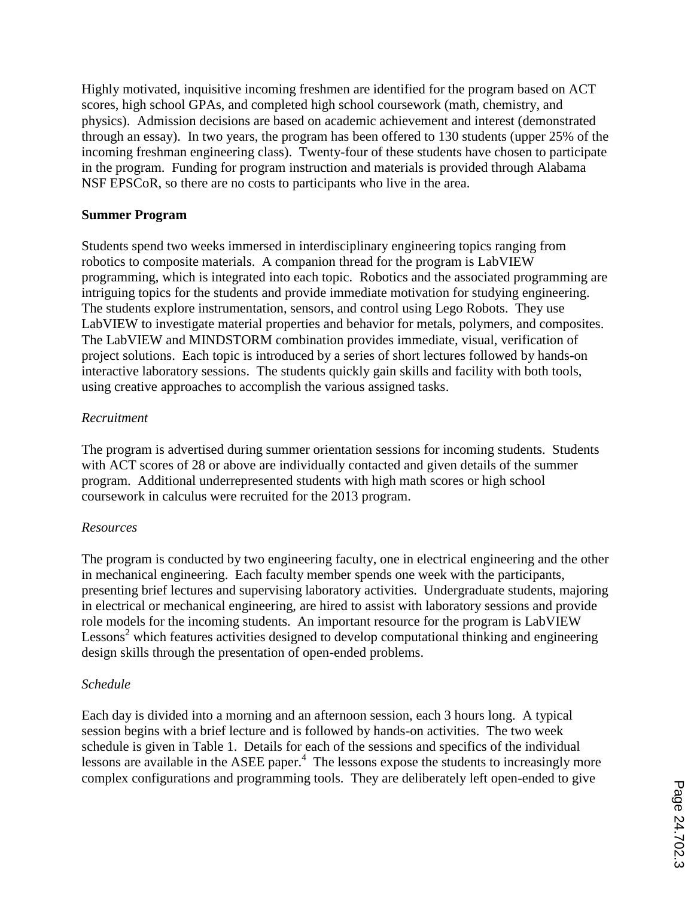Highly motivated, inquisitive incoming freshmen are identified for the program based on ACT scores, high school GPAs, and completed high school coursework (math, chemistry, and physics). Admission decisions are based on academic achievement and interest (demonstrated through an essay). In two years, the program has been offered to 130 students (upper 25% of the incoming freshman engineering class). Twenty-four of these students have chosen to participate in the program. Funding for program instruction and materials is provided through Alabama NSF EPSCoR, so there are no costs to participants who live in the area.

## **Summer Program**

Students spend two weeks immersed in interdisciplinary engineering topics ranging from robotics to composite materials. A companion thread for the program is LabVIEW programming, which is integrated into each topic. Robotics and the associated programming are intriguing topics for the students and provide immediate motivation for studying engineering. The students explore instrumentation, sensors, and control using Lego Robots. They use LabVIEW to investigate material properties and behavior for metals, polymers, and composites. The LabVIEW and MINDSTORM combination provides immediate, visual, verification of project solutions. Each topic is introduced by a series of short lectures followed by hands-on interactive laboratory sessions. The students quickly gain skills and facility with both tools, using creative approaches to accomplish the various assigned tasks.

## *Recruitment*

The program is advertised during summer orientation sessions for incoming students. Students with ACT scores of 28 or above are individually contacted and given details of the summer program. Additional underrepresented students with high math scores or high school coursework in calculus were recruited for the 2013 program.

### *Resources*

The program is conducted by two engineering faculty, one in electrical engineering and the other in mechanical engineering. Each faculty member spends one week with the participants, presenting brief lectures and supervising laboratory activities. Undergraduate students, majoring in electrical or mechanical engineering, are hired to assist with laboratory sessions and provide role models for the incoming students. An important resource for the program is LabVIEW  $\text{Lessons}^2$  which features activities designed to develop computational thinking and engineering design skills through the presentation of open-ended problems.

### *Schedule*

Each day is divided into a morning and an afternoon session, each 3 hours long. A typical session begins with a brief lecture and is followed by hands-on activities. The two week schedule is given in Table 1. Details for each of the sessions and specifics of the individual lessons are available in the ASEE paper. 4 The lessons expose the students to increasingly more complex configurations and programming tools. They are deliberately left open-ended to give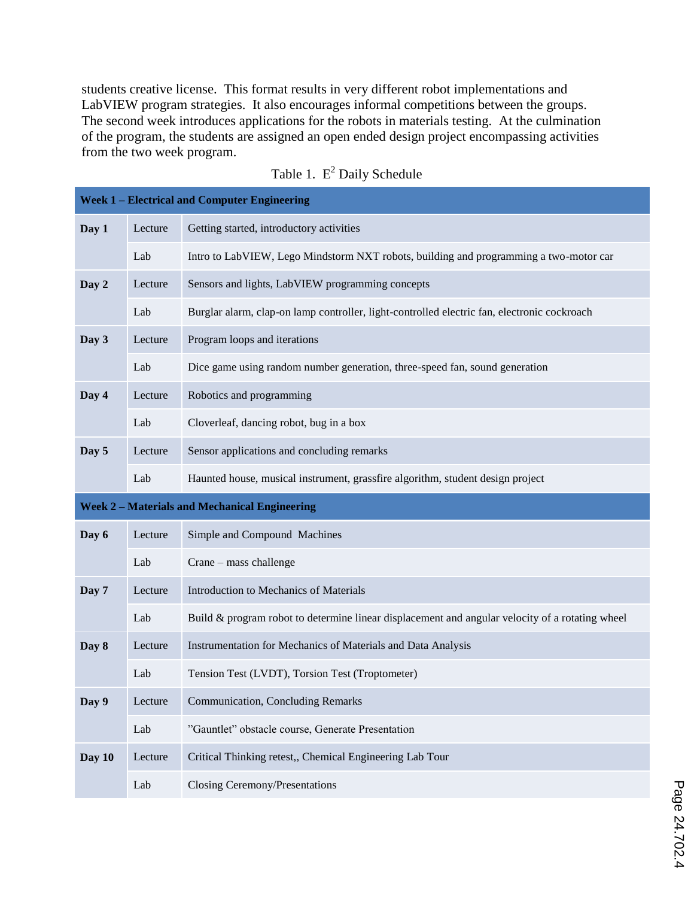students creative license. This format results in very different robot implementations and LabVIEW program strategies. It also encourages informal competitions between the groups. The second week introduces applications for the robots in materials testing. At the culmination of the program, the students are assigned an open ended design project encompassing activities from the two week program.

|                                                    | <b>Week 1 - Electrical and Computer Engineering</b> |                                                                                                 |  |  |  |  |  |  |  |
|----------------------------------------------------|-----------------------------------------------------|-------------------------------------------------------------------------------------------------|--|--|--|--|--|--|--|
| Day 1                                              | Lecture                                             | Getting started, introductory activities                                                        |  |  |  |  |  |  |  |
|                                                    | Lab                                                 | Intro to LabVIEW, Lego Mindstorm NXT robots, building and programming a two-motor car           |  |  |  |  |  |  |  |
| Day 2                                              | Lecture                                             | Sensors and lights, LabVIEW programming concepts                                                |  |  |  |  |  |  |  |
|                                                    | Lab                                                 | Burglar alarm, clap-on lamp controller, light-controlled electric fan, electronic cockroach     |  |  |  |  |  |  |  |
| Day 3                                              | Lecture                                             | Program loops and iterations                                                                    |  |  |  |  |  |  |  |
|                                                    | Lab                                                 | Dice game using random number generation, three-speed fan, sound generation                     |  |  |  |  |  |  |  |
| Day 4                                              | Lecture                                             | Robotics and programming                                                                        |  |  |  |  |  |  |  |
|                                                    | Lab                                                 | Cloverleaf, dancing robot, bug in a box                                                         |  |  |  |  |  |  |  |
| Day 5                                              | Lecture                                             | Sensor applications and concluding remarks                                                      |  |  |  |  |  |  |  |
|                                                    | Lab                                                 | Haunted house, musical instrument, grassfire algorithm, student design project                  |  |  |  |  |  |  |  |
| <b>Week 2-Materials and Mechanical Engineering</b> |                                                     |                                                                                                 |  |  |  |  |  |  |  |
|                                                    |                                                     |                                                                                                 |  |  |  |  |  |  |  |
| Day 6                                              | Lecture                                             | Simple and Compound Machines                                                                    |  |  |  |  |  |  |  |
|                                                    | Lab                                                 | Crane - mass challenge                                                                          |  |  |  |  |  |  |  |
| Day 7                                              | Lecture                                             | Introduction to Mechanics of Materials                                                          |  |  |  |  |  |  |  |
|                                                    | Lab                                                 | Build & program robot to determine linear displacement and angular velocity of a rotating wheel |  |  |  |  |  |  |  |
| Day 8                                              | Lecture                                             | Instrumentation for Mechanics of Materials and Data Analysis                                    |  |  |  |  |  |  |  |
|                                                    | Lab                                                 | Tension Test (LVDT), Torsion Test (Troptometer)                                                 |  |  |  |  |  |  |  |
| Day 9                                              | Lecture                                             | <b>Communication, Concluding Remarks</b>                                                        |  |  |  |  |  |  |  |
|                                                    | Lab                                                 | "Gauntlet" obstacle course, Generate Presentation                                               |  |  |  |  |  |  |  |
| Day 10                                             | Lecture                                             | Critical Thinking retest,, Chemical Engineering Lab Tour                                        |  |  |  |  |  |  |  |

|  | Table 1. $E^2$ Daily Schedule |
|--|-------------------------------|
|  |                               |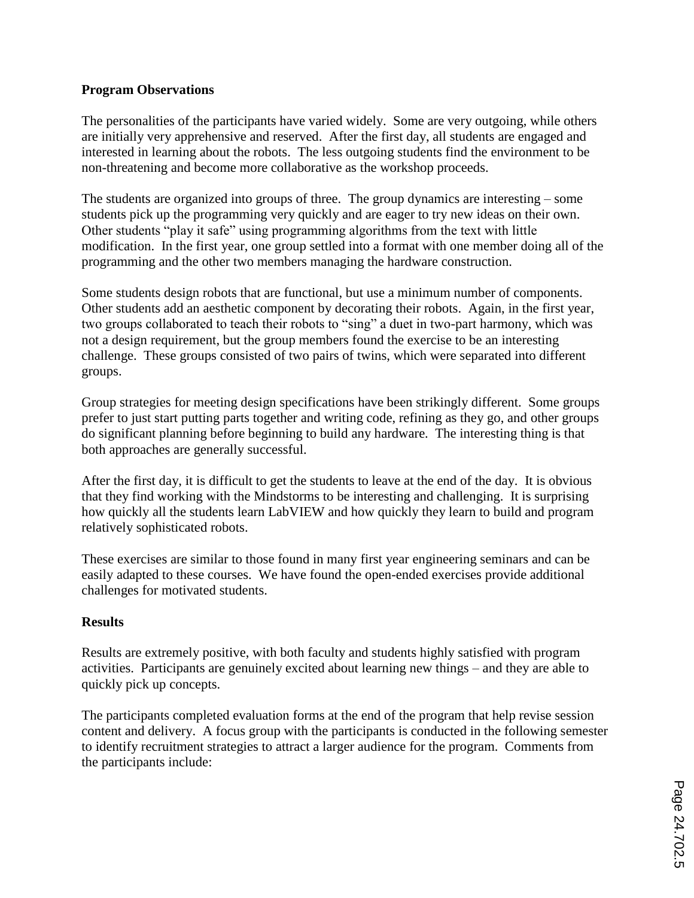## **Program Observations**

The personalities of the participants have varied widely. Some are very outgoing, while others are initially very apprehensive and reserved. After the first day, all students are engaged and interested in learning about the robots. The less outgoing students find the environment to be non-threatening and become more collaborative as the workshop proceeds.

The students are organized into groups of three. The group dynamics are interesting – some students pick up the programming very quickly and are eager to try new ideas on their own. Other students "play it safe" using programming algorithms from the text with little modification. In the first year, one group settled into a format with one member doing all of the programming and the other two members managing the hardware construction.

Some students design robots that are functional, but use a minimum number of components. Other students add an aesthetic component by decorating their robots. Again, in the first year, two groups collaborated to teach their robots to "sing" a duet in two-part harmony, which was not a design requirement, but the group members found the exercise to be an interesting challenge. These groups consisted of two pairs of twins, which were separated into different groups.

Group strategies for meeting design specifications have been strikingly different. Some groups prefer to just start putting parts together and writing code, refining as they go, and other groups do significant planning before beginning to build any hardware. The interesting thing is that both approaches are generally successful.

After the first day, it is difficult to get the students to leave at the end of the day. It is obvious that they find working with the Mindstorms to be interesting and challenging. It is surprising how quickly all the students learn LabVIEW and how quickly they learn to build and program relatively sophisticated robots.

These exercises are similar to those found in many first year engineering seminars and can be easily adapted to these courses. We have found the open-ended exercises provide additional challenges for motivated students.

# **Results**

Results are extremely positive, with both faculty and students highly satisfied with program activities. Participants are genuinely excited about learning new things – and they are able to quickly pick up concepts.

The participants completed evaluation forms at the end of the program that help revise session content and delivery. A focus group with the participants is conducted in the following semester to identify recruitment strategies to attract a larger audience for the program. Comments from the participants include: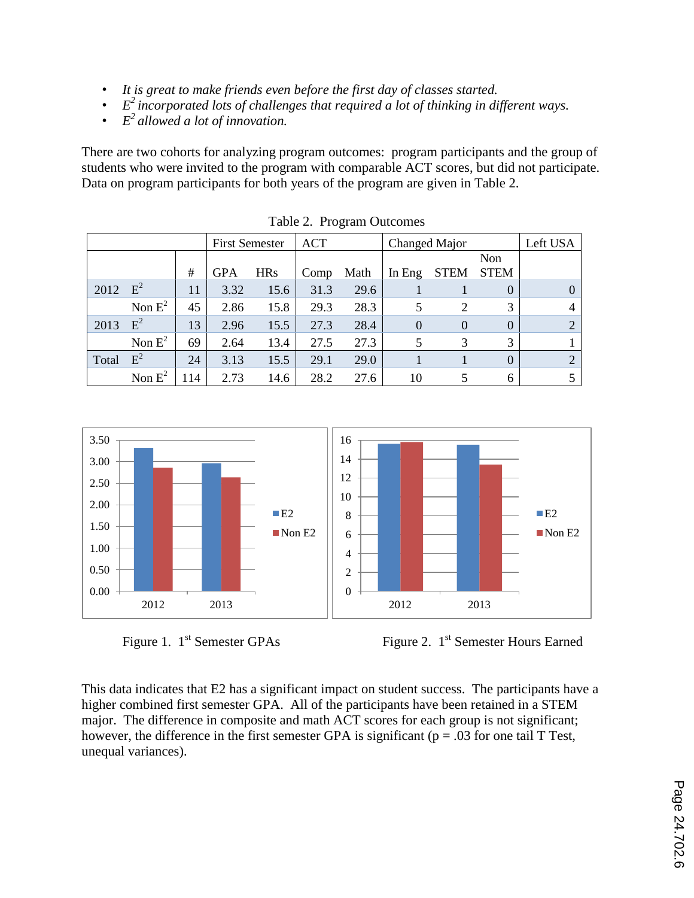- *It is great to make friends even before the first day of classes started.*
- *E <sup>2</sup>incorporated lots of challenges that required a lot of thinking in different ways.*
- *E <sup>2</sup>allowed a lot of innovation.*

There are two cohorts for analyzing program outcomes: program participants and the group of students who were invited to the program with comparable ACT scores, but did not participate. Data on program participants for both years of the program are given in Table 2.

|       |           | <b>First Semester</b> |            | <b>ACT</b> |      | Changed Major |          |                | Left USA    |                |
|-------|-----------|-----------------------|------------|------------|------|---------------|----------|----------------|-------------|----------------|
|       |           |                       |            |            |      |               |          |                | Non         |                |
|       |           | #                     | <b>GPA</b> | <b>HRs</b> | Comp | Math          | In Eng   | <b>STEM</b>    | <b>STEM</b> |                |
| 2012  | $E^2$     | 11                    | 3.32       | 15.6       | 31.3 | 29.6          |          |                | $\theta$    |                |
|       | Non $E^2$ | 45                    | 2.86       | 15.8       | 29.3 | 28.3          | 5        | $\overline{2}$ | 3           | 4              |
| 2013  | $E^2$     | 13                    | 2.96       | 15.5       | 27.3 | 28.4          | $\theta$ | $\Omega$       | $\Omega$    | $\overline{2}$ |
|       | Non $E^2$ | 69                    | 2.64       | 13.4       | 27.5 | 27.3          | 5        | 3              | 3           |                |
| Total | $E^2$     | 24                    | 3.13       | 15.5       | 29.1 | 29.0          |          |                | $\theta$    | $\overline{2}$ |
|       | Non $E^2$ | 114                   | 2.73       | 14.6       | 28.2 | 27.6          | 10       |                | 6           |                |

Table 2. Program Outcomes





Figure 1. 1<sup>st</sup> Semester GPAs Figure 2. 1<sup>st</sup> Semester Hours Earned

This data indicates that E2 has a significant impact on student success. The participants have a higher combined first semester GPA. All of the participants have been retained in a STEM major. The difference in composite and math ACT scores for each group is not significant; however, the difference in the first semester GPA is significant ( $p = .03$  for one tail T Test, unequal variances).